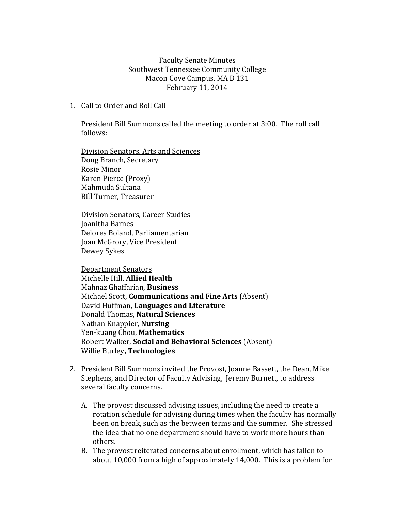Faculty Senate Minutes Southwest Tennessee Community College Macon Cove Campus, MA B 131 February 11, 2014

1. Call to Order and Roll Call

President Bill Summons called the meeting to order at 3:00. The roll call follows:

Division Senators, Arts and Sciences Doug Branch, Secretary Rosie Minor Karen Pierce (Proxy) Mahmuda Sultana Bill Turner, Treasurer

Division Senators, Career Studies Joanitha Barnes Delores Boland, Parliamentarian Joan McGrory, Vice President Dewey Sykes

Department Senators Michelle Hill, **Allied Health** Mahnaz Ghaffarian, **Business** Michael Scott, **Communications and Fine Arts** (Absent) David Huffman, **Languages and Literature** Donald Thomas, **Natural Sciences** Nathan Knappier, **Nursing**  Yen-kuang Chou, **Mathematics** Robert Walker, **Social and Behavioral Sciences** (Absent) Willie Burley**, Technologies**

- 2. President Bill Summons invited the Provost, Joanne Bassett, the Dean, Mike Stephens, and Director of Faculty Advising, Jeremy Burnett, to address several faculty concerns.
	- A. The provost discussed advising issues, including the need to create a rotation schedule for advising during times when the faculty has normally been on break, such as the between terms and the summer. She stressed the idea that no one department should have to work more hours than others.
	- B. The provost reiterated concerns about enrollment, which has fallen to about 10,000 from a high of approximately 14,000. This is a problem for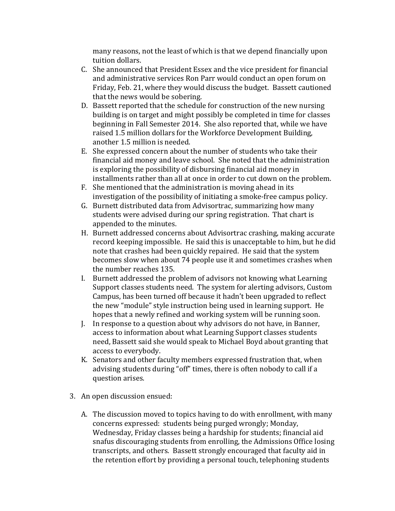many reasons, not the least of which is that we depend financially upon tuition dollars.

- C. She announced that President Essex and the vice president for financial and administrative services Ron Parr would conduct an open forum on Friday, Feb. 21, where they would discuss the budget. Bassett cautioned that the news would be sobering.
- D. Bassett reported that the schedule for construction of the new nursing building is on target and might possibly be completed in time for classes beginning in Fall Semester 2014. She also reported that, while we have raised 1.5 million dollars for the Workforce Development Building, another 1.5 million is needed.
- E. She expressed concern about the number of students who take their financial aid money and leave school. She noted that the administration is exploring the possibility of disbursing financial aid money in installments rather than all at once in order to cut down on the problem.
- F. She mentioned that the administration is moving ahead in its investigation of the possibility of initiating a smoke-free campus policy.
- G. Burnett distributed data from Advisortrac, summarizing how many students were advised during our spring registration. That chart is appended to the minutes.
- H. Burnett addressed concerns about Advisortrac crashing, making accurate record keeping impossible. He said this is unacceptable to him, but he did note that crashes had been quickly repaired. He said that the system becomes slow when about 74 people use it and sometimes crashes when the number reaches 135.
- I. Burnett addressed the problem of advisors not knowing what Learning Support classes students need. The system for alerting advisors, Custom Campus, has been turned off because it hadn't been upgraded to reflect the new "module" style instruction being used in learning support. He hopes that a newly refined and working system will be running soon.
- J. In response to a question about why advisors do not have, in Banner, access to information about what Learning Support classes students need, Bassett said she would speak to Michael Boyd about granting that access to everybody.
- K. Senators and other faculty members expressed frustration that, when advising students during "off" times, there is often nobody to call if a question arises.
- 3. An open discussion ensued:
	- A. The discussion moved to topics having to do with enrollment, with many concerns expressed: students being purged wrongly; Monday, Wednesday, Friday classes being a hardship for students; financial aid snafus discouraging students from enrolling, the Admissions Office losing transcripts, and others. Bassett strongly encouraged that faculty aid in the retention effort by providing a personal touch, telephoning students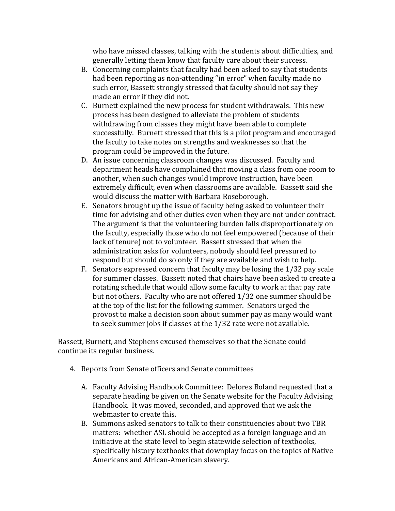who have missed classes, talking with the students about difficulties, and generally letting them know that faculty care about their success.

- B. Concerning complaints that faculty had been asked to say that students had been reporting as non-attending "in error" when faculty made no such error, Bassett strongly stressed that faculty should not say they made an error if they did not.
- C. Burnett explained the new process for student withdrawals. This new process has been designed to alleviate the problem of students withdrawing from classes they might have been able to complete successfully. Burnett stressed that this is a pilot program and encouraged the faculty to take notes on strengths and weaknesses so that the program could be improved in the future.
- D. An issue concerning classroom changes was discussed. Faculty and department heads have complained that moving a class from one room to another, when such changes would improve instruction, have been extremely difficult, even when classrooms are available. Bassett said she would discuss the matter with Barbara Roseborough.
- E. Senators brought up the issue of faculty being asked to volunteer their time for advising and other duties even when they are not under contract. The argument is that the volunteering burden falls disproportionately on the faculty, especially those who do not feel empowered (because of their lack of tenure) not to volunteer. Bassett stressed that when the administration asks for volunteers, nobody should feel pressured to respond but should do so only if they are available and wish to help.
- F. Senators expressed concern that faculty may be losing the 1/32 pay scale for summer classes. Bassett noted that chairs have been asked to create a rotating schedule that would allow some faculty to work at that pay rate but not others. Faculty who are not offered 1/32 one summer should be at the top of the list for the following summer. Senators urged the provost to make a decision soon about summer pay as many would want to seek summer jobs if classes at the 1/32 rate were not available.

Bassett, Burnett, and Stephens excused themselves so that the Senate could continue its regular business.

- 4. Reports from Senate officers and Senate committees
	- A. Faculty Advising Handbook Committee: Delores Boland requested that a separate heading be given on the Senate website for the Faculty Advising Handbook. It was moved, seconded, and approved that we ask the webmaster to create this.
	- B. Summons asked senators to talk to their constituencies about two TBR matters: whether ASL should be accepted as a foreign language and an initiative at the state level to begin statewide selection of textbooks, specifically history textbooks that downplay focus on the topics of Native Americans and African-American slavery.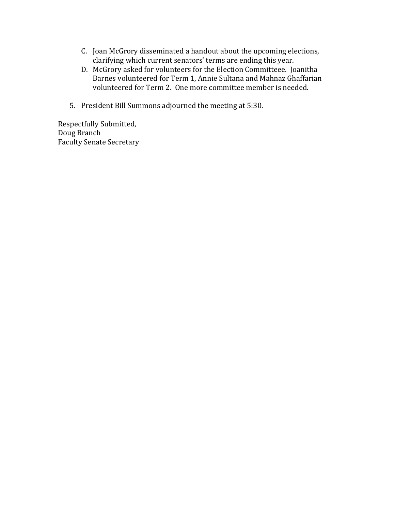- C. Joan McGrory disseminated a handout about the upcoming elections, clarifying which current senators' terms are ending this year.
- D. McGrory asked for volunteers for the Election Committeee. Joanitha Barnes volunteered for Term 1, Annie Sultana and Mahnaz Ghaffarian volunteered for Term 2. One more committee member is needed.
- 5. President Bill Summons adjourned the meeting at 5:30.

Respectfully Submitted, Doug Branch Faculty Senate Secretary